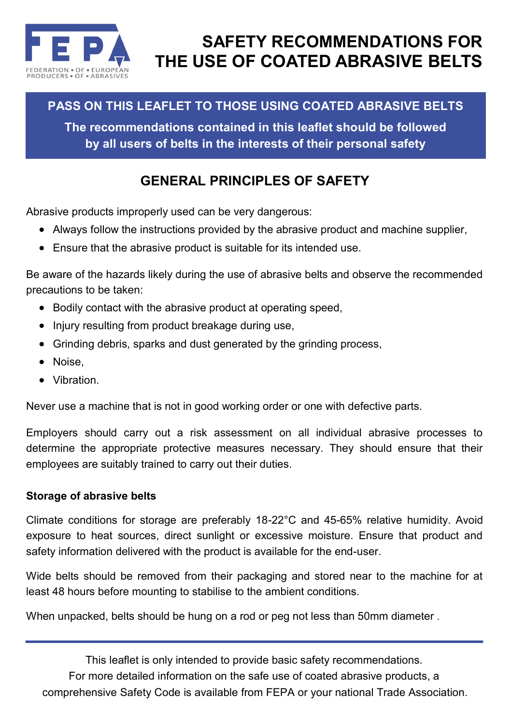

# **SAFETY RECOMMENDATIONS FOR THE USE OF COATED ABRASIVE BELTS**

## **PASS ON THIS LEAFLET TO THOSE USING COATED ABRASIVE BELTS**

**The recommendations contained in this leaflet should be followed by all users of belts in the interests of their personal safety**

## **GENERAL PRINCIPLES OF SAFETY**

Abrasive products improperly used can be very dangerous:

- Always follow the instructions provided by the abrasive product and machine supplier,
- Ensure that the abrasive product is suitable for its intended use.

Be aware of the hazards likely during the use of abrasive belts and observe the recommended precautions to be taken:

- Bodily contact with the abrasive product at operating speed,
- Injury resulting from product breakage during use,
- Grinding debris, sparks and dust generated by the grinding process,
- Noise,
- Vibration.

Never use a machine that is not in good working order or one with defective parts.

Employers should carry out a risk assessment on all individual abrasive processes to determine the appropriate protective measures necessary. They should ensure that their employees are suitably trained to carry out their duties.

### **Storage of abrasive belts**

Climate conditions for storage are preferably 18-22°C and 45-65% relative humidity. Avoid exposure to heat sources, direct sunlight or excessive moisture. Ensure that product and safety information delivered with the product is available for the end-user.

Wide belts should be removed from their packaging and stored near to the machine for at least 48 hours before mounting to stabilise to the ambient conditions.

When unpacked, belts should be hung on a rod or peg not less than 50mm diameter .

This leaflet is only intended to provide basic safety recommendations. For more detailed information on the safe use of coated abrasive products, a comprehensive Safety Code is available from FEPA or your national Trade Association.